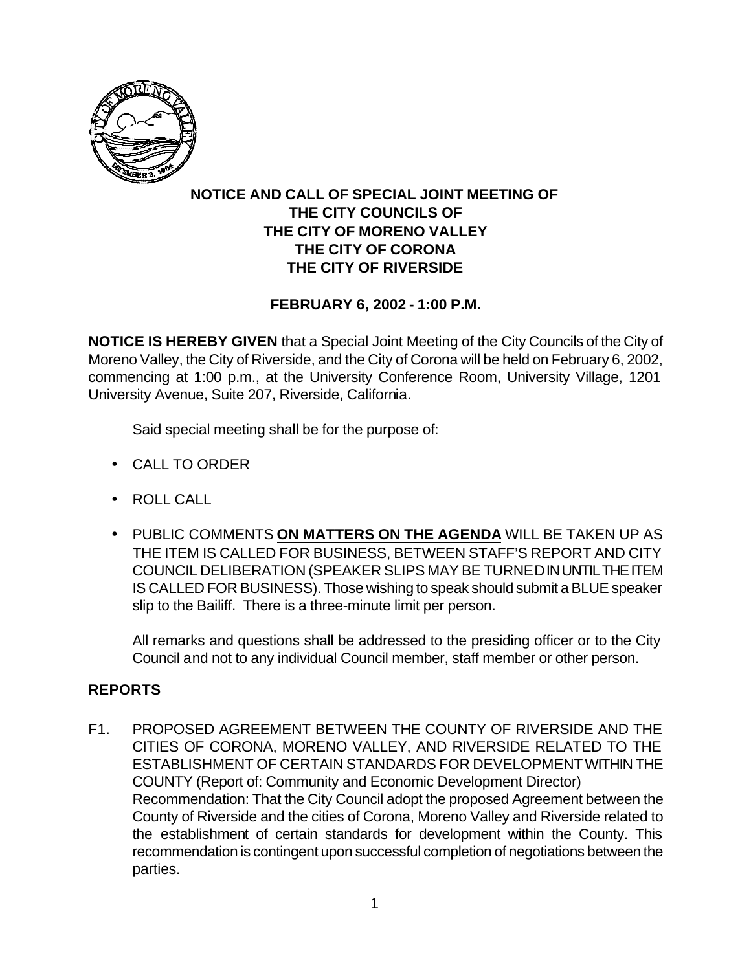

## **NOTICE AND CALL OF SPECIAL JOINT MEETING OF THE CITY COUNCILS OF THE CITY OF MORENO VALLEY THE CITY OF CORONA THE CITY OF RIVERSIDE**

## **FEBRUARY 6, 2002 - 1:00 P.M.**

**NOTICE IS HEREBY GIVEN** that a Special Joint Meeting of the City Councils of the City of Moreno Valley, the City of Riverside, and the City of Corona will be held on February 6, 2002, commencing at 1:00 p.m., at the University Conference Room, University Village, 1201 University Avenue, Suite 207, Riverside, California.

Said special meeting shall be for the purpose of:

- CALL TO ORDER
- ROLL CALL
- PUBLIC COMMENTS **ON MATTERS ON THE AGENDA** WILL BE TAKEN UP AS THE ITEM IS CALLED FOR BUSINESS, BETWEEN STAFF'S REPORT AND CITY COUNCIL DELIBERATION (SPEAKER SLIPS MAY BE TURNED IN UNTIL THE ITEM IS CALLED FOR BUSINESS). Those wishing to speak should submit a BLUE speaker slip to the Bailiff. There is a three-minute limit per person.

All remarks and questions shall be addressed to the presiding officer or to the City Council and not to any individual Council member, staff member or other person.

## **REPORTS**

F1. PROPOSED AGREEMENT BETWEEN THE COUNTY OF RIVERSIDE AND THE CITIES OF CORONA, MORENO VALLEY, AND RIVERSIDE RELATED TO THE ESTABLISHMENT OF CERTAIN STANDARDS FOR DEVELOPMENT WITHIN THE COUNTY (Report of: Community and Economic Development Director) Recommendation: That the City Council adopt the proposed Agreement between the County of Riverside and the cities of Corona, Moreno Valley and Riverside related to the establishment of certain standards for development within the County. This recommendation is contingent upon successful completion of negotiations between the parties.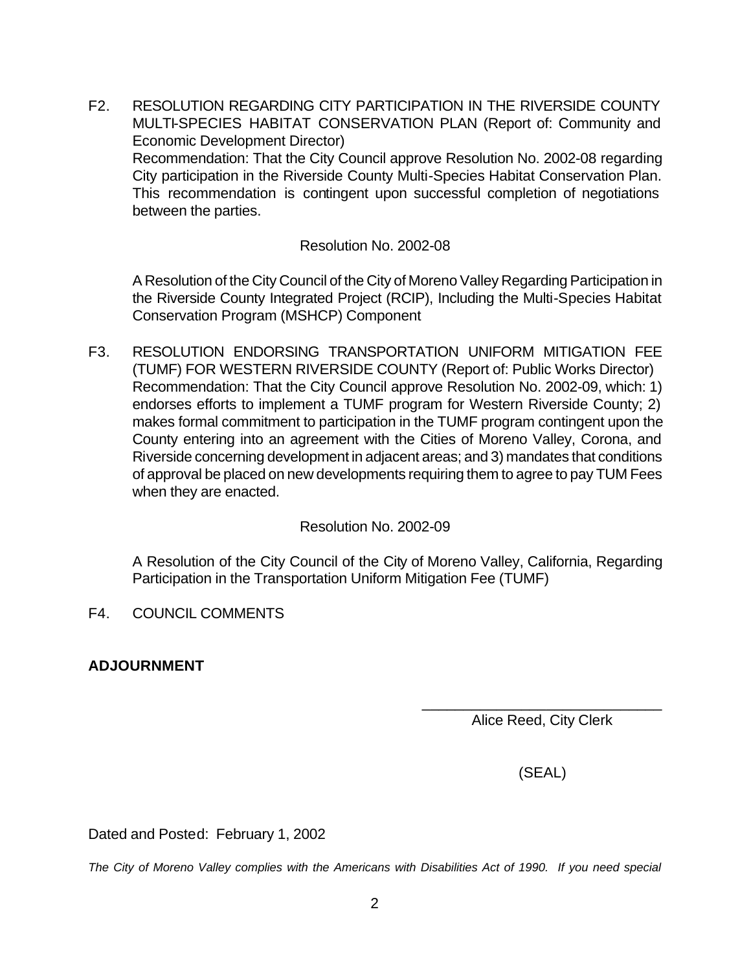F2. RESOLUTION REGARDING CITY PARTICIPATION IN THE RIVERSIDE COUNTY MULTI-SPECIES HABITAT CONSERVATION PLAN (Report of: Community and Economic Development Director) Recommendation: That the City Council approve Resolution No. 2002-08 regarding City participation in the Riverside County Multi-Species Habitat Conservation Plan. This recommendation is contingent upon successful completion of negotiations between the parties.

Resolution No. 2002-08

A Resolution of the City Council of the City of Moreno Valley Regarding Participation in the Riverside County Integrated Project (RCIP), Including the Multi-Species Habitat Conservation Program (MSHCP) Component

F3. RESOLUTION ENDORSING TRANSPORTATION UNIFORM MITIGATION FEE (TUMF) FOR WESTERN RIVERSIDE COUNTY (Report of: Public Works Director) Recommendation: That the City Council approve Resolution No. 2002-09, which: 1) endorses efforts to implement a TUMF program for Western Riverside County; 2) makes formal commitment to participation in the TUMF program contingent upon the County entering into an agreement with the Cities of Moreno Valley, Corona, and Riverside concerning development in adjacent areas; and 3) mandates that conditions of approval be placed on new developments requiring them to agree to pay TUM Fees when they are enacted.

Resolution No. 2002-09

A Resolution of the City Council of the City of Moreno Valley, California, Regarding Participation in the Transportation Uniform Mitigation Fee (TUMF)

- F4. COUNCIL COMMENTS
- **ADJOURNMENT**

Alice Reed, City Clerk

 $\overline{\phantom{a}}$  , and the set of the set of the set of the set of the set of the set of the set of the set of the set of the set of the set of the set of the set of the set of the set of the set of the set of the set of the s

(SEAL)

Dated and Posted: February 1, 2002

*The City of Moreno Valley complies with the Americans with Disabilities Act of 1990. If you need special*